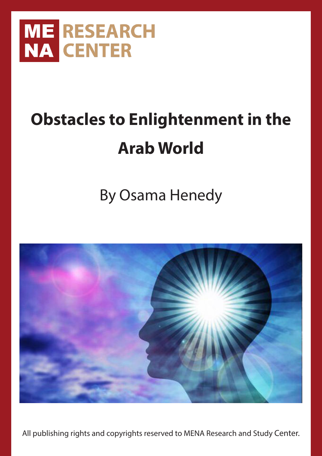

# **Obstacles to Enlightenment in the Arab World**

# By Osama Henedy



All publishing rights and copyrights reserved to MENA Research and Study Center.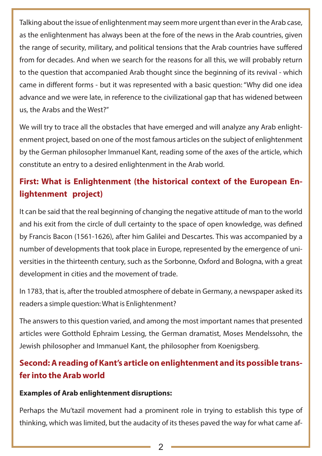Talking about the issue of enlightenment may seem more urgent than ever in the Arab case, as the enlightenment has always been at the fore of the news in the Arab countries, given the range of security, military, and political tensions that the Arab countries have suffered from for decades. And when we search for the reasons for all this, we will probably return to the question that accompanied Arab thought since the beginning of its revival - which came in different forms - but it was represented with a basic question: "Why did one idea advance and we were late, in reference to the civilizational gap that has widened between us, the Arabs and the West?"

We will try to trace all the obstacles that have emerged and will analyze any Arab enlightenment project, based on one of the most famous articles on the subject of enlightenment by the German philosopher Immanuel Kant, reading some of the axes of the article, which constitute an entry to a desired enlightenment in the Arab world.

# **First: What is Enlightenment (the historical context of the European Enlightenment project)**

It can be said that the real beginning of changing the negative attitude of man to the world and his exit from the circle of dull certainty to the space of open knowledge, was defined by Francis Bacon (1561-1626), after him Galilei and Descartes. This was accompanied by a number of developments that took place in Europe, represented by the emergence of universities in the thirteenth century, such as the Sorbonne, Oxford and Bologna, with a great development in cities and the movement of trade.

In 1783, that is, after the troubled atmosphere of debate in Germany, a newspaper asked its readers a simple question: What is Enlightenment?

The answers to this question varied, and among the most important names that presented articles were Gotthold Ephraim Lessing, the German dramatist, Moses Mendelssohn, the Jewish philosopher and Immanuel Kant, the philosopher from Koenigsberg.

## **Second: A reading of Kant's article on enlightenment and its possible transfer into the Arab world**

#### **Examples of Arab enlightenment disruptions:**

Perhaps the Mu'tazil movement had a prominent role in trying to establish this type of thinking, which was limited, but the audacity of its theses paved the way for what came af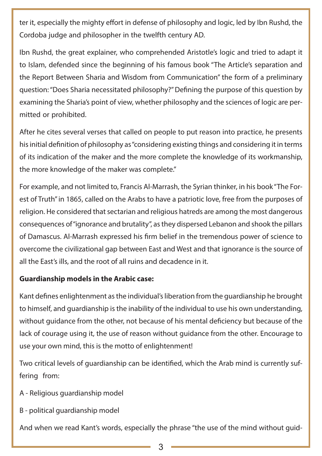ter it, especially the mighty effort in defense of philosophy and logic, led by Ibn Rushd, the Cordoba judge and philosopher in the twelfth century AD.

Ibn Rushd, the great explainer, who comprehended Aristotle's logic and tried to adapt it to Islam, defended since the beginning of his famous book "The Article's separation and the Report Between Sharia and Wisdom from Communication" the form of a preliminary question: "Does Sharia necessitated philosophy?" Defining the purpose of this question by examining the Sharia's point of view, whether philosophy and the sciences of logic are permitted or prohibited.

After he cites several verses that called on people to put reason into practice, he presents his initial definition of philosophy as "considering existing things and considering it in terms of its indication of the maker and the more complete the knowledge of its workmanship, the more knowledge of the maker was complete."

For example, and not limited to, Francis Al-Marrash, the Syrian thinker, in his book "The Forest of Truth" in 1865, called on the Arabs to have a patriotic love, free from the purposes of religion. He considered that sectarian and religious hatreds are among the most dangerous consequences of "ignorance and brutality", as they dispersed Lebanon and shook the pillars of Damascus. Al-Marrash expressed his firm belief in the tremendous power of science to overcome the civilizational gap between East and West and that ignorance is the source of all the East's ills, and the root of all ruins and decadence in it.

#### **Guardianship models in the Arabic case:**

Kant defines enlightenment as the individual's liberation from the guardianship he brought to himself, and guardianship is the inability of the individual to use his own understanding, without guidance from the other, not because of his mental deficiency but because of the lack of courage using it, the use of reason without guidance from the other. Encourage to use your own mind, this is the motto of enlightenment!

Two critical levels of guardianship can be identified, which the Arab mind is currently suffering from:

- A Religious guardianship model
- B political guardianship model

And when we read Kant's words, especially the phrase "the use of the mind without guid-

3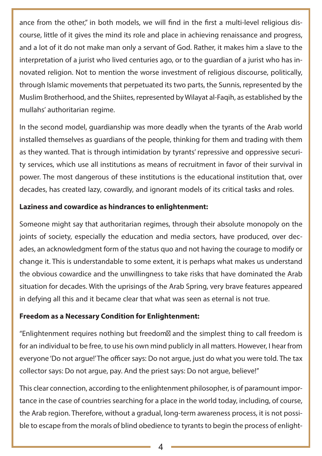ance from the other," in both models, we will find in the first a multi-level religious discourse, little of it gives the mind its role and place in achieving renaissance and progress, and a lot of it do not make man only a servant of God. Rather, it makes him a slave to the interpretation of a jurist who lived centuries ago, or to the guardian of a jurist who has innovated religion. Not to mention the worse investment of religious discourse, politically, through Islamic movements that perpetuated its two parts, the Sunnis, represented by the Muslim Brotherhood, and the Shiites, represented by Wilayat al-Faqih, as established by the mullahs' authoritarian regime.

In the second model, guardianship was more deadly when the tyrants of the Arab world installed themselves as guardians of the people, thinking for them and trading with them as they wanted. That is through intimidation by tyrants' repressive and oppressive security services, which use all institutions as means of recruitment in favor of their survival in power. The most dangerous of these institutions is the educational institution that, over decades, has created lazy, cowardly, and ignorant models of its critical tasks and roles.

#### **Laziness and cowardice as hindrances to enlightenment:**

Someone might say that authoritarian regimes, through their absolute monopoly on the joints of society, especially the education and media sectors, have produced, over decades, an acknowledgment form of the status quo and not having the courage to modify or change it. This is understandable to some extent, it is perhaps what makes us understand the obvious cowardice and the unwillingness to take risks that have dominated the Arab situation for decades. With the uprisings of the Arab Spring, very brave features appeared in defying all this and it became clear that what was seen as eternal is not true.

#### **Freedom as a Necessary Condition for Enlightenment:**

"Enlightenment requires nothing but freedom، and the simplest thing to call freedom is for an individual to be free, to use his own mind publicly in all matters. However, I hear from everyone 'Do not argue!' The officer says: Do not argue, just do what you were told. The tax collector says: Do not argue, pay. And the priest says: Do not argue, believe!"

This clear connection, according to the enlightenment philosopher, is of paramount importance in the case of countries searching for a place in the world today, including, of course, the Arab region. Therefore, without a gradual, long-term awareness process, it is not possible to escape from the morals of blind obedience to tyrants to begin the process of enlight-

4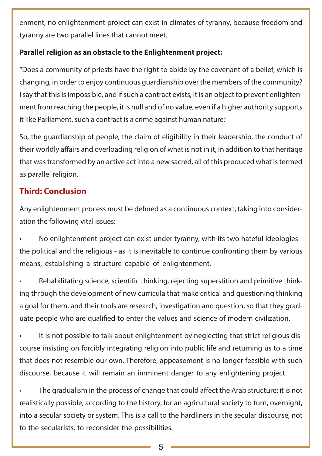enment, no enlightenment project can exist in climates of tyranny, because freedom and tyranny are two parallel lines that cannot meet.

#### **Parallel religion as an obstacle to the Enlightenment project:**

"Does a community of priests have the right to abide by the covenant of a belief, which is changing, in order to enjoy continuous guardianship over the members of the community? I say that this is impossible, and if such a contract exists, it is an object to prevent enlightenment from reaching the people, it is null and of no value, even if a higher authority supports it like Parliament, such a contract is a crime against human nature."

So, the guardianship of people, the claim of eligibility in their leadership, the conduct of their worldly affairs and overloading religion of what is not in it, in addition to that heritage that was transformed by an active act into a new sacred, all of this produced what is termed as parallel religion.

### **Third: Conclusion**

Any enlightenment process must be defined as a continuous context, taking into consideration the following vital issues:

• No enlightenment project can exist under tyranny, with its two hateful ideologies the political and the religious - as it is inevitable to continue confronting them by various means, establishing a structure capable of enlightenment.

• Rehabilitating science, scientific thinking, rejecting superstition and primitive thinking through the development of new curricula that make critical and questioning thinking a goal for them, and their tools are research, investigation and question, so that they graduate people who are qualified to enter the values and science of modern civilization.

It is not possible to talk about enlightenment by neglecting that strict religious discourse insisting on forcibly integrating religion into public life and returning us to a time that does not resemble our own. Therefore, appeasement is no longer feasible with such discourse, because it will remain an imminent danger to any enlightening project.

The gradualism in the process of change that could affect the Arab structure: it is not realistically possible, according to the history, for an agricultural society to turn, overnight, into a secular society or system. This is a call to the hardliners in the secular discourse, not to the secularists, to reconsider the possibilities.

5